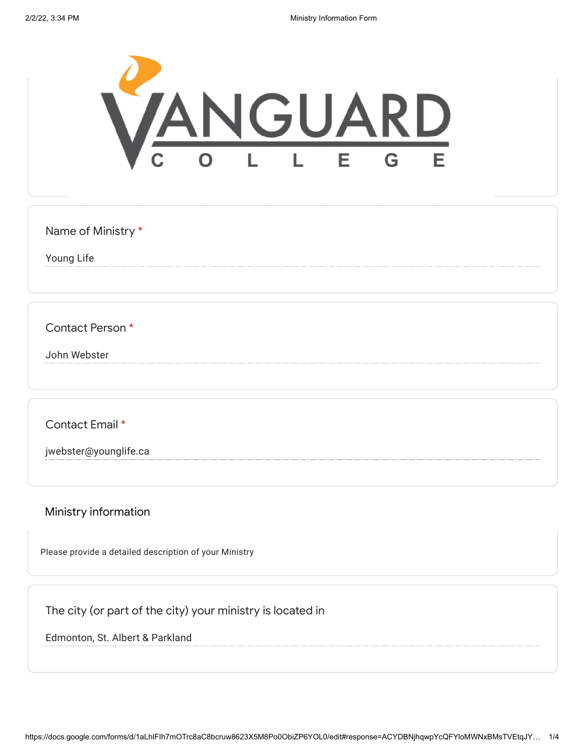

Name of Ministry \*

Young Life

Contact Person \*

John Webster

Contact Email \*

jwebster@younglife.ca

Ministry information

Please provide a detailed description of your Ministry

The city (or part of the city) your ministry is located in

Edmonton, St. Albert & Parkland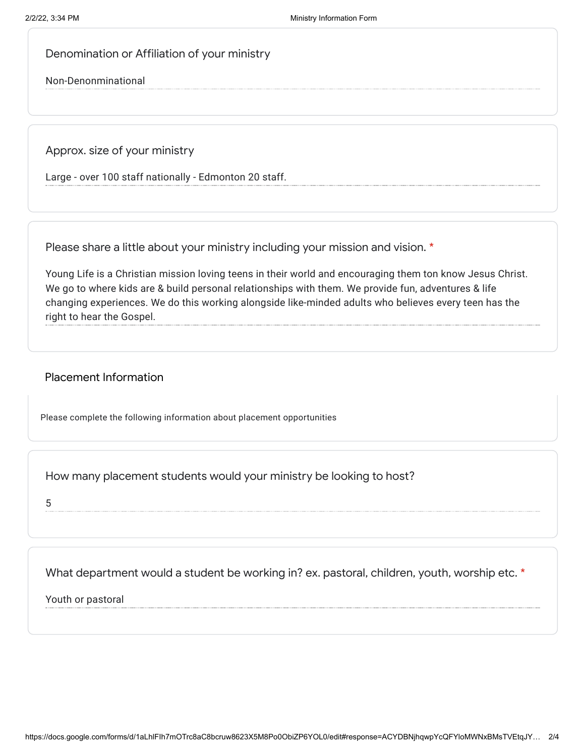Denomination or Affiliation of your ministry

Non-Denonminational

Approx. size of your ministry

Large - over 100 staff nationally - Edmonton 20 staff.

Please share a little about your ministry including your mission and vision. \*

Young Life is a Christian mission loving teens in their world and encouraging them ton know Jesus Christ. We go to where kids are & build personal relationships with them. We provide fun, adventures & life changing experiences. We do this working alongside like-minded adults who believes every teen has the right to hear the Gospel.

## Placement Information

Please complete the following information about placement opportunities

How many placement students would your ministry be looking to host?

5

What department would a student be working in? ex. pastoral, children, youth, worship etc. \*

Youth or pastoral